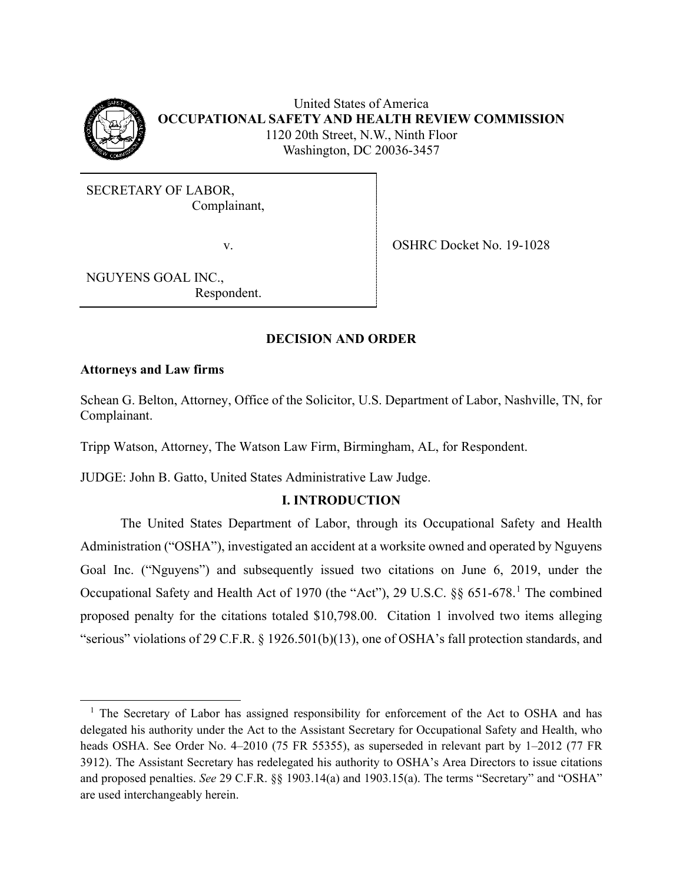

United States of America **OCCUPATIONAL SAFETY AND HEALTH REVIEW COMMISSION** 1120 20th Street, N.W., Ninth Floor Washington, DC 20036-3457

SECRETARY OF LABOR, Complainant,

v. SHRC Docket No. 19-1028

NGUYENS GOAL INC., Respondent.

# **DECISION AND ORDER**

## **Attorneys and Law firms**

Schean G. Belton, Attorney, Office of the Solicitor, U.S. Department of Labor, Nashville, TN, for Complainant.

Tripp Watson, Attorney, The Watson Law Firm, Birmingham, AL, for Respondent.

JUDGE: John B. Gatto, United States Administrative Law Judge.

# **I. INTRODUCTION**

The United States Department of Labor, through its Occupational Safety and Health Administration ("OSHA"), investigated an accident at a worksite owned and operated by Nguyens Goal Inc. ("Nguyens") and subsequently issued two citations on June 6, 2019, under the Occupational Safety and Health Act of [1](#page-0-0)970 (the "Act"), 29 U.S.C. §§ 651-678.<sup>1</sup> The combined proposed penalty for the citations totaled \$10,798.00. Citation 1 involved two items alleging "serious" violations of 29 C.F.R. § 1926.501(b)(13), one of OSHA's fall protection standards, and

<span id="page-0-0"></span><sup>&</sup>lt;sup>1</sup> The Secretary of Labor has assigned responsibility for enforcement of the Act to OSHA and has delegated his authority under the Act to the Assistant Secretary for Occupational Safety and Health, who heads OSHA. See Order No. 4–2010 (75 FR 55355), as superseded in relevant part by 1–2012 (77 FR 3912). The Assistant Secretary has redelegated his authority to OSHA's Area Directors to issue citations and proposed penalties. *See* 29 C.F.R. §§ 1903.14(a) and 1903.15(a). The terms "Secretary" and "OSHA" are used interchangeably herein.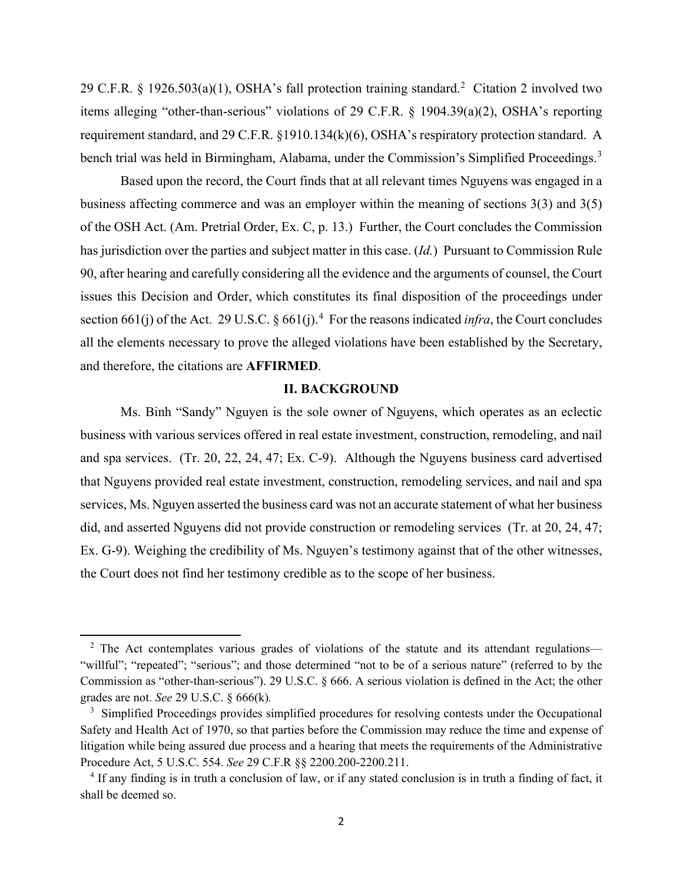[2](#page-1-0)9 C.F.R. § 1926.503(a)(1), OSHA's fall protection training standard.<sup>2</sup> Citation 2 involved two items alleging "other-than-serious" violations of 29 C.F.R. § 1904.39(a)(2), OSHA's reporting requirement standard, and 29 C.F.R. §1910.134(k)(6), OSHA's respiratory protection standard. A bench trial was held in Birmingham, Alabama, under the Commission's Simplified Proceedings.<sup>[3](#page-1-1)</sup>

Based upon the record, the Court finds that at all relevant times Nguyens was engaged in a business affecting commerce and was an employer within the meaning of sections 3(3) and 3(5) of the OSH Act. (Am. Pretrial Order, Ex. C, p. 13.) Further, the Court concludes the Commission has jurisdiction over the parties and subject matter in this case. (*Id.*) Pursuant to Commission Rule 90, after hearing and carefully considering all the evidence and the arguments of counsel, the Court issues this Decision and Order, which constitutes its final disposition of the proceedings under section 661(j) of the Act. 29 U.S.C.  $\S$  661(j).<sup>[4](#page-1-2)</sup> For the reasons indicated *infra*, the Court concludes all the elements necessary to prove the alleged violations have been established by the Secretary, and therefore, the citations are **AFFIRMED**.

## **II. BACKGROUND**

Ms. Binh "Sandy" Nguyen is the sole owner of Nguyens, which operates as an eclectic business with various services offered in real estate investment, construction, remodeling, and nail and spa services. (Tr. 20, 22, 24, 47; Ex. C-9). Although the Nguyens business card advertised that Nguyens provided real estate investment, construction, remodeling services, and nail and spa services, Ms. Nguyen asserted the business card was not an accurate statement of what her business did, and asserted Nguyens did not provide construction or remodeling services (Tr. at 20, 24, 47; Ex. G-9). Weighing the credibility of Ms. Nguyen's testimony against that of the other witnesses, the Court does not find her testimony credible as to the scope of her business.

<span id="page-1-0"></span> $2$  The Act contemplates various grades of violations of the statute and its attendant regulations— "willful"; "repeated"; "serious"; and those determined "not to be of a serious nature" (referred to by the Commission as "other-than-serious"). 29 U.S.C. § 666. A serious violation is defined in the Act; the other grades are not. *See* 29 U.S.C. § 666(k)*.*

<span id="page-1-1"></span><sup>&</sup>lt;sup>3</sup> Simplified Proceedings provides simplified procedures for resolving contests under the Occupational Safety and Health Act of 1970, so that parties before the Commission may reduce the time and expense of litigation while being assured due process and a hearing that meets the requirements of the Administrative Procedure Act, 5 U.S.C. 554. *See* 29 C.F.R §§ 2200.200-2200.211.

<span id="page-1-2"></span><sup>&</sup>lt;sup>4</sup> If any finding is in truth a conclusion of law, or if any stated conclusion is in truth a finding of fact, it shall be deemed so.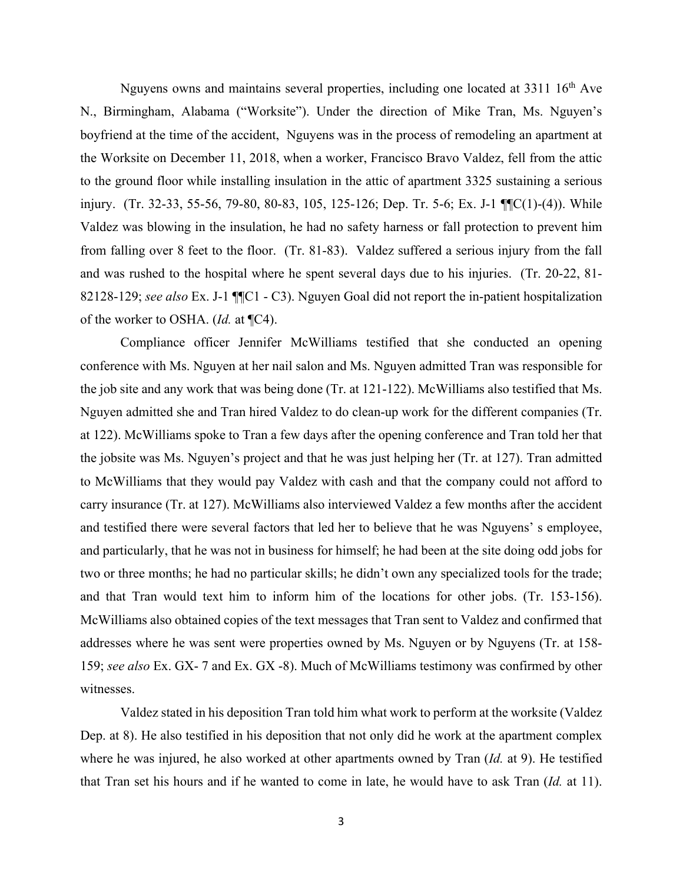Nguyens owns and maintains several properties, including one located at 3311 16<sup>th</sup> Ave N., Birmingham, Alabama ("Worksite"). Under the direction of Mike Tran, Ms. Nguyen's boyfriend at the time of the accident, Nguyens was in the process of remodeling an apartment at the Worksite on December 11, 2018, when a worker, Francisco Bravo Valdez, fell from the attic to the ground floor while installing insulation in the attic of apartment 3325 sustaining a serious injury. (Tr. 32-33, 55-56, 79-80, 80-83, 105, 125-126; Dep. Tr. 5-6; Ex. J-1 ¶¶C(1)-(4)). While Valdez was blowing in the insulation, he had no safety harness or fall protection to prevent him from falling over 8 feet to the floor. (Tr. 81-83). Valdez suffered a serious injury from the fall and was rushed to the hospital where he spent several days due to his injuries. (Tr. 20-22, 81- 82128-129; *see also* Ex. J-1 ¶¶C1 - C3). Nguyen Goal did not report the in-patient hospitalization of the worker to OSHA. (*Id.* at ¶C4).

Compliance officer Jennifer McWilliams testified that she conducted an opening conference with Ms. Nguyen at her nail salon and Ms. Nguyen admitted Tran was responsible for the job site and any work that was being done (Tr. at 121-122). McWilliams also testified that Ms. Nguyen admitted she and Tran hired Valdez to do clean-up work for the different companies (Tr. at 122). McWilliams spoke to Tran a few days after the opening conference and Tran told her that the jobsite was Ms. Nguyen's project and that he was just helping her (Tr. at 127). Tran admitted to McWilliams that they would pay Valdez with cash and that the company could not afford to carry insurance (Tr. at 127). McWilliams also interviewed Valdez a few months after the accident and testified there were several factors that led her to believe that he was Nguyens' s employee, and particularly, that he was not in business for himself; he had been at the site doing odd jobs for two or three months; he had no particular skills; he didn't own any specialized tools for the trade; and that Tran would text him to inform him of the locations for other jobs. (Tr. 153-156). McWilliams also obtained copies of the text messages that Tran sent to Valdez and confirmed that addresses where he was sent were properties owned by Ms. Nguyen or by Nguyens (Tr. at 158- 159; *see also* Ex. GX- 7 and Ex. GX -8). Much of McWilliams testimony was confirmed by other witnesses.

Valdez stated in his deposition Tran told him what work to perform at the worksite (Valdez Dep. at 8). He also testified in his deposition that not only did he work at the apartment complex where he was injured, he also worked at other apartments owned by Tran (*Id.* at 9). He testified that Tran set his hours and if he wanted to come in late, he would have to ask Tran (*Id.* at 11).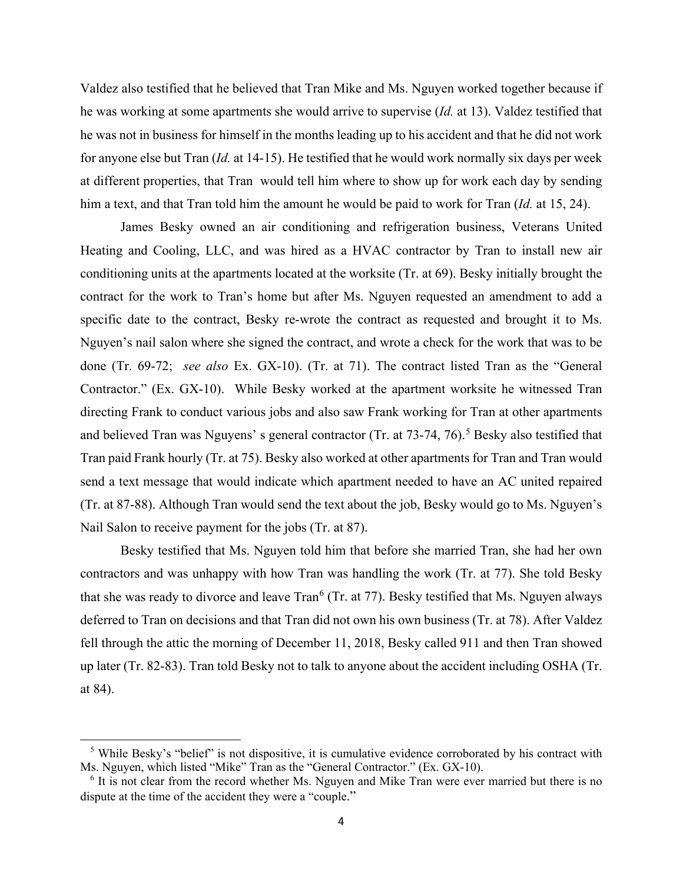Valdez also testified that he believed that Tran Mike and Ms. Nguyen worked together because if he was working at some apartments she would arrive to supervise (*Id.* at 13). Valdez testified that he was not in business for himself in the months leading up to his accident and that he did not work for anyone else but Tran (*Id.* at 14-15). He testified that he would work normally six days per week at different properties, that Tran would tell him where to show up for work each day by sending him a text, and that Tran told him the amount he would be paid to work for Tran (*Id.* at 15, 24).

James Besky owned an air conditioning and refrigeration business, Veterans United Heating and Cooling, LLC, and was hired as a HVAC contractor by Tran to install new air conditioning units at the apartments located at the worksite (Tr. at 69). Besky initially brought the contract for the work to Tran's home but after Ms. Nguyen requested an amendment to add a specific date to the contract, Besky re-wrote the contract as requested and brought it to Ms. Nguyen's nail salon where she signed the contract, and wrote a check for the work that was to be done (Tr. 69-72; *see also* Ex. GX-10). (Tr. at 71). The contract listed Tran as the "General Contractor." (Ex. GX-10). While Besky worked at the apartment worksite he witnessed Tran directing Frank to conduct various jobs and also saw Frank working for Tran at other apartments and believed Tran was Nguyens' s general contractor (Tr. at 73-74, 76).<sup>[5](#page-3-0)</sup> Besky also testified that Tran paid Frank hourly (Tr. at 75). Besky also worked at other apartments for Tran and Tran would send a text message that would indicate which apartment needed to have an AC united repaired (Tr. at 87-88). Although Tran would send the text about the job, Besky would go to Ms. Nguyen's Nail Salon to receive payment for the jobs (Tr. at 87).

Besky testified that Ms. Nguyen told him that before she married Tran, she had her own contractors and was unhappy with how Tran was handling the work (Tr. at 77). She told Besky that she was ready to divorce and leave  $Tran^6$  $Tran^6$  (Tr. at 77). Besky testified that Ms. Nguyen always deferred to Tran on decisions and that Tran did not own his own business (Tr. at 78). After Valdez fell through the attic the morning of December 11, 2018, Besky called 911 and then Tran showed up later (Tr. 82-83). Tran told Besky not to talk to anyone about the accident including OSHA (Tr. at 84).

<span id="page-3-0"></span><sup>&</sup>lt;sup>5</sup> While Besky's "belief" is not dispositive, it is cumulative evidence corroborated by his contract with Ms. Nguyen, which listed "Mike" Tran as the "General Contractor." (Ex. GX-10).

<span id="page-3-1"></span> $6$  It is not clear from the record whether Ms. Nguyen and Mike Tran were ever married but there is no dispute at the time of the accident they were a "couple."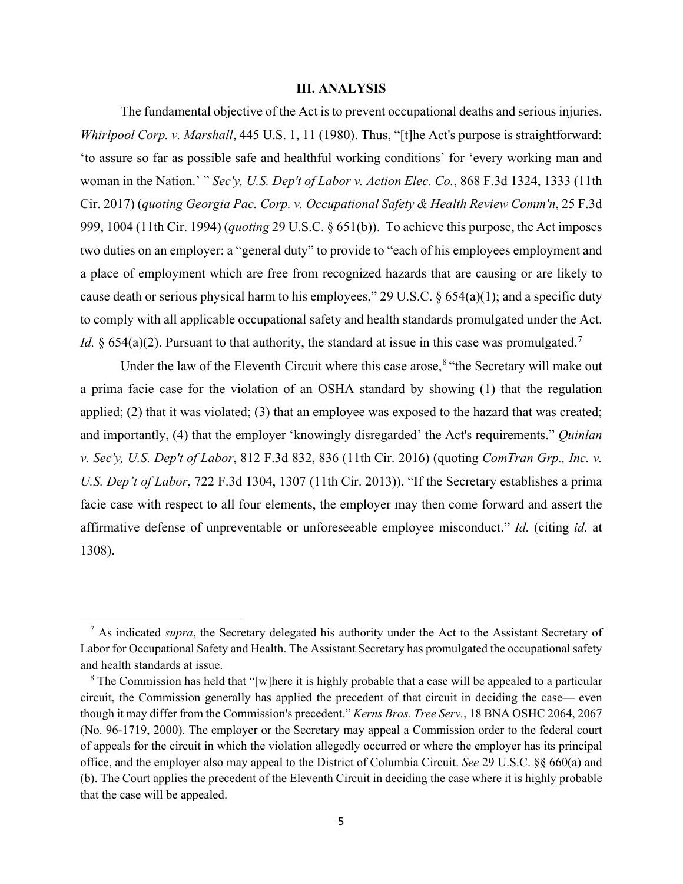### **III. ANALYSIS**

The fundamental objective of the Act is to prevent occupational deaths and serious injuries. *Whirlpool Corp. v. Marshall*, 445 U.S. 1, 11 (1980). Thus, "[t]he Act's purpose is straightforward: 'to assure so far as possible safe and healthful working conditions' for 'every working man and woman in the Nation.' " *Sec'y, U.S. Dep't of Labor v. Action Elec. Co.*, 868 F.3d 1324, 1333 (11th Cir. 2017) (*quoting Georgia Pac. Corp. v. Occupational Safety & Health Review Comm'n*, 25 F.3d 999, 1004 (11th Cir. 1994) (*quoting* 29 U.S.C. § 651(b)). To achieve this purpose, the Act imposes two duties on an employer: a "general duty" to provide to "each of his employees employment and a place of employment which are free from recognized hazards that are causing or are likely to cause death or serious physical harm to his employees," 29 U.S.C. § 654(a)(1); and a specific duty to comply with all applicable occupational safety and health standards promulgated under the Act. *Id.* § 654(a)(2). Pursuant to that authority, the standard at issue in this case was promulgated.<sup>[7](#page-4-0)</sup>

Under the law of the Eleventh Circuit where this case arose,  $8$  "the Secretary will make out a prima facie case for the violation of an OSHA standard by showing (1) that the regulation applied; (2) that it was violated; (3) that an employee was exposed to the hazard that was created; and importantly, (4) that the employer 'knowingly disregarded' the Act's requirements." *Quinlan v. Sec'y, U.S. Dep't of Labor*, 812 F.3d 832, 836 (11th Cir. 2016) (quoting *ComTran Grp., Inc. v. U.S. Dep't of Labor*, 722 F.3d 1304, 1307 (11th Cir. 2013)). "If the Secretary establishes a prima facie case with respect to all four elements, the employer may then come forward and assert the affirmative defense of unpreventable or unforeseeable employee misconduct." *Id.* (citing *id.* at 1308).

<span id="page-4-0"></span><sup>&</sup>lt;sup>7</sup> As indicated *supra*, the Secretary delegated his authority under the Act to the Assistant Secretary of Labor for Occupational Safety and Health. The Assistant Secretary has promulgated the occupational safety and health standards at issue.<br><sup>8</sup> The Commission has held that "[w]here it is highly probable that a case will be appealed to a particular

<span id="page-4-1"></span>circuit, the Commission generally has applied the precedent of that circuit in deciding the case— even though it may differ from the Commission's precedent." *Kerns Bros. Tree Serv.*, 18 BNA OSHC 2064, 2067 (No. 96-1719, 2000). The employer or the Secretary may appeal a Commission order to the federal court of appeals for the circuit in which the violation allegedly occurred or where the employer has its principal office, and the employer also may appeal to the District of Columbia Circuit. *See* 29 U.S.C. §§ 660(a) and (b). The Court applies the precedent of the Eleventh Circuit in deciding the case where it is highly probable that the case will be appealed.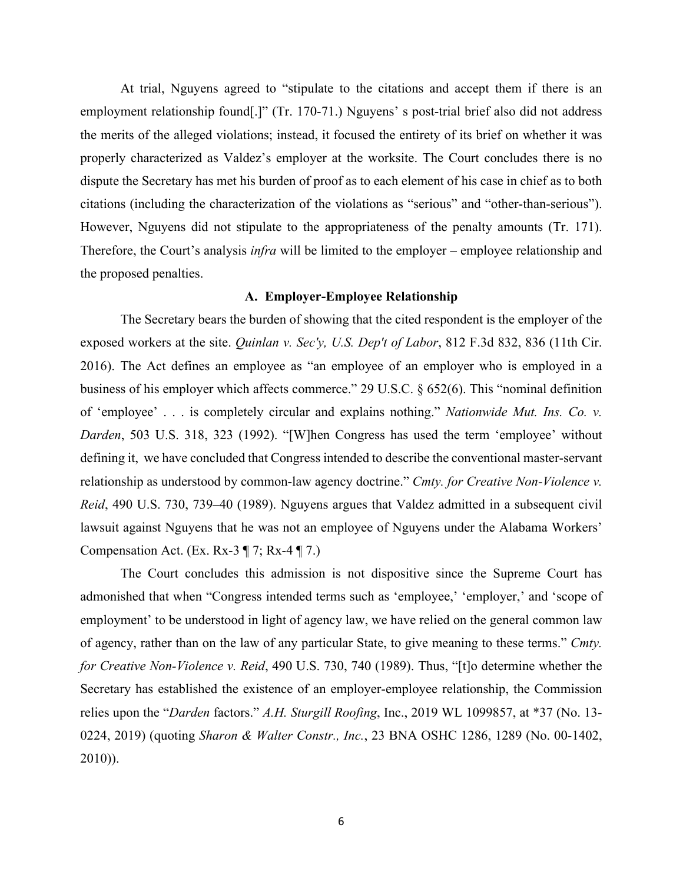At trial, Nguyens agreed to "stipulate to the citations and accept them if there is an employment relationship found[.]" (Tr. 170-71.) Nguyens' s post-trial brief also did not address the merits of the alleged violations; instead, it focused the entirety of its brief on whether it was properly characterized as Valdez's employer at the worksite. The Court concludes there is no dispute the Secretary has met his burden of proof as to each element of his case in chief as to both citations (including the characterization of the violations as "serious" and "other-than-serious"). However, Nguyens did not stipulate to the appropriateness of the penalty amounts (Tr. 171). Therefore, the Court's analysis *infra* will be limited to the employer – employee relationship and the proposed penalties.

## **A. Employer-Employee Relationship**

The Secretary bears the burden of showing that the cited respondent is the employer of the exposed workers at the site. *Quinlan v. Sec'y, U.S. Dep't of Labor*, 812 F.3d 832, 836 (11th Cir. 2016). The Act defines an employee as "an employee of an employer who is employed in a business of his employer which affects commerce." 29 U.S.C. § 652(6). This "nominal definition of 'employee' . . . is completely circular and explains nothing." *Nationwide Mut. Ins. Co. v. Darden*, 503 U.S. 318, 323 (1992). "[W]hen Congress has used the term 'employee' without defining it, we have concluded that Congress intended to describe the conventional master-servant relationship as understood by common-law agency doctrine." *Cmty. for Creative Non-Violence v. Reid*, 490 U.S. 730, 739–40 (1989). Nguyens argues that Valdez admitted in a subsequent civil lawsuit against Nguyens that he was not an employee of Nguyens under the Alabama Workers' Compensation Act. (Ex. Rx-3  $\P$  7; Rx-4  $\P$  7.)

The Court concludes this admission is not dispositive since the Supreme Court has admonished that when "Congress intended terms such as 'employee,' 'employer,' and 'scope of employment' to be understood in light of agency law, we have relied on the general common law of agency, rather than on the law of any particular State, to give meaning to these terms." *Cmty. for Creative Non-Violence v. Reid*, 490 U.S. 730, 740 (1989). Thus, "[t]o determine whether the Secretary has established the existence of an employer-employee relationship, the Commission relies upon the "*Darden* factors." *A.H. Sturgill Roofing*, Inc., 2019 WL 1099857, at \*37 (No. 13- 0224, 2019) (quoting *Sharon & Walter Constr., Inc.*, 23 BNA OSHC 1286, 1289 (No. 00-1402, 2010)).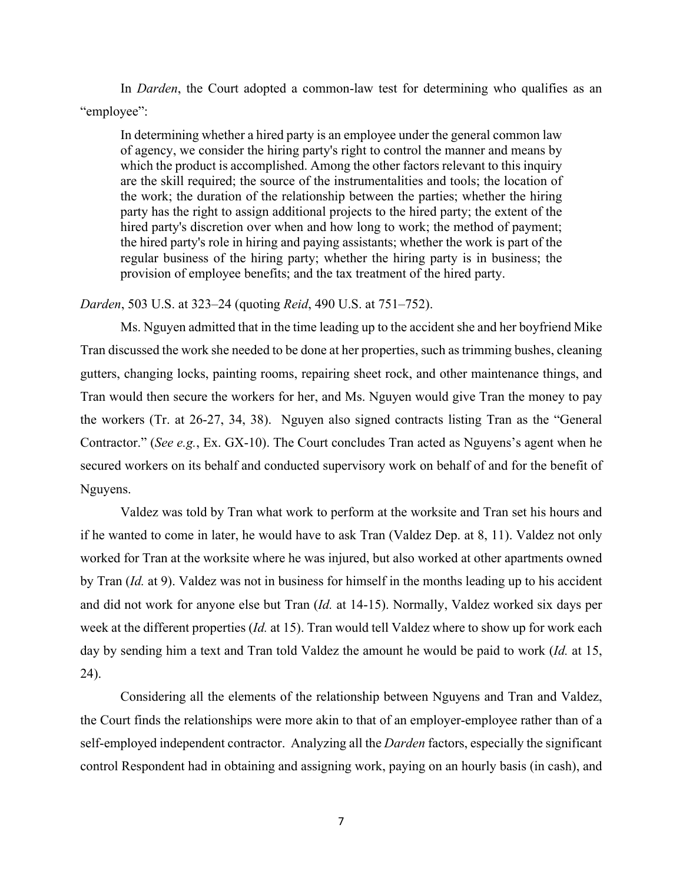In *Darden*, the Court adopted a common-law test for determining who qualifies as an "employee":

In determining whether a hired party is an employee under the general common law of agency, we consider the hiring party's right to control the manner and means by which the product is accomplished. Among the other factors relevant to this inquiry are the skill required; the source of the instrumentalities and tools; the location of the work; the duration of the relationship between the parties; whether the hiring party has the right to assign additional projects to the hired party; the extent of the hired party's discretion over when and how long to work; the method of payment; the hired party's role in hiring and paying assistants; whether the work is part of the regular business of the hiring party; whether the hiring party is in business; the provision of employee benefits; and the tax treatment of the hired party.

### *Darden*, 503 U.S. at 323–24 (quoting *Reid*, 490 U.S. at 751–752).

Ms. Nguyen admitted that in the time leading up to the accident she and her boyfriend Mike Tran discussed the work she needed to be done at her properties, such as trimming bushes, cleaning gutters, changing locks, painting rooms, repairing sheet rock, and other maintenance things, and Tran would then secure the workers for her, and Ms. Nguyen would give Tran the money to pay the workers (Tr. at 26-27, 34, 38). Nguyen also signed contracts listing Tran as the "General Contractor." (*See e.g.*, Ex. GX-10). The Court concludes Tran acted as Nguyens's agent when he secured workers on its behalf and conducted supervisory work on behalf of and for the benefit of Nguyens.

Valdez was told by Tran what work to perform at the worksite and Tran set his hours and if he wanted to come in later, he would have to ask Tran (Valdez Dep. at 8, 11). Valdez not only worked for Tran at the worksite where he was injured, but also worked at other apartments owned by Tran (*Id.* at 9). Valdez was not in business for himself in the months leading up to his accident and did not work for anyone else but Tran (*Id.* at 14-15). Normally, Valdez worked six days per week at the different properties (*Id.* at 15). Tran would tell Valdez where to show up for work each day by sending him a text and Tran told Valdez the amount he would be paid to work (*Id.* at 15, 24).

Considering all the elements of the relationship between Nguyens and Tran and Valdez, the Court finds the relationships were more akin to that of an employer-employee rather than of a self-employed independent contractor. Analyzing all the *Darden* factors, especially the significant control Respondent had in obtaining and assigning work, paying on an hourly basis (in cash), and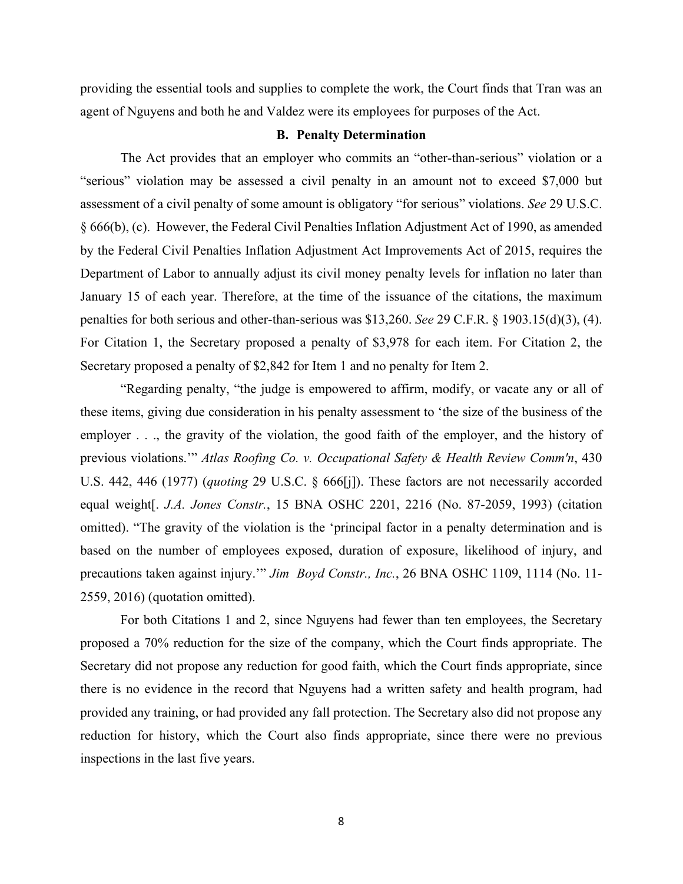providing the essential tools and supplies to complete the work, the Court finds that Tran was an agent of Nguyens and both he and Valdez were its employees for purposes of the Act.

### **B. Penalty Determination**

The Act provides that an employer who commits an "other-than-serious" violation or a "serious" violation may be assessed a civil penalty in an amount not to exceed \$7,000 but assessment of a civil penalty of some amount is obligatory "for serious" violations. *See* 29 U.S.C. § 666(b), (c). However, the Federal Civil Penalties Inflation Adjustment Act of 1990, as amended by the Federal Civil Penalties Inflation Adjustment Act Improvements Act of 2015, requires the Department of Labor to annually adjust its civil money penalty levels for inflation no later than January 15 of each year. Therefore, at the time of the issuance of the citations, the maximum penalties for both serious and other-than-serious was \$13,260. *See* 29 C.F.R. § 1903.15(d)(3), (4). For Citation 1, the Secretary proposed a penalty of \$3,978 for each item. For Citation 2, the Secretary proposed a penalty of \$2,842 for Item 1 and no penalty for Item 2.

"Regarding penalty, "the judge is empowered to affirm, modify, or vacate any or all of these items, giving due consideration in his penalty assessment to 'the size of the business of the employer . . ., the gravity of the violation, the good faith of the employer, and the history of previous violations.'" *Atlas Roofing Co. v. Occupational Safety & Health Review Comm'n*, 430 U.S. 442, 446 (1977) (*quoting* 29 U.S.C. § 666[j]). These factors are not necessarily accorded equal weight[. *J.A. Jones Constr.*, 15 BNA OSHC 2201, 2216 (No. 87-2059, 1993) (citation omitted). "The gravity of the violation is the 'principal factor in a penalty determination and is based on the number of employees exposed, duration of exposure, likelihood of injury, and precautions taken against injury.'" *Jim Boyd Constr., Inc.*, 26 BNA OSHC 1109, 1114 (No. 11- 2559, 2016) (quotation omitted).

For both Citations 1 and 2, since Nguyens had fewer than ten employees, the Secretary proposed a 70% reduction for the size of the company, which the Court finds appropriate. The Secretary did not propose any reduction for good faith, which the Court finds appropriate, since there is no evidence in the record that Nguyens had a written safety and health program, had provided any training, or had provided any fall protection. The Secretary also did not propose any reduction for history, which the Court also finds appropriate, since there were no previous inspections in the last five years.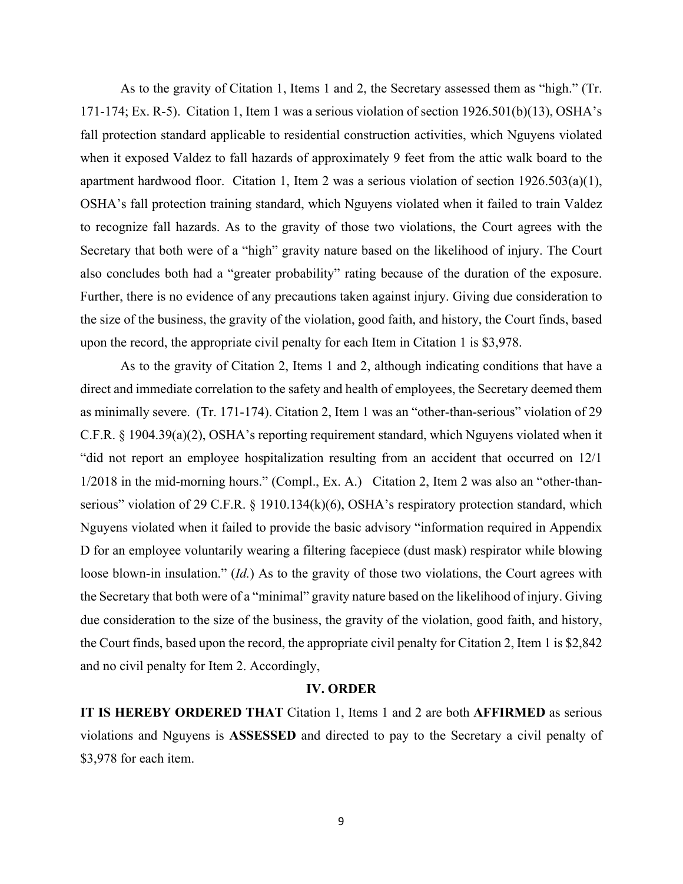As to the gravity of Citation 1, Items 1 and 2, the Secretary assessed them as "high." (Tr. 171-174; Ex. R-5). Citation 1, Item 1 was a serious violation of section 1926.501(b)(13), OSHA's fall protection standard applicable to residential construction activities, which Nguyens violated when it exposed Valdez to fall hazards of approximately 9 feet from the attic walk board to the apartment hardwood floor. Citation 1, Item 2 was a serious violation of section 1926.503(a)(1), OSHA's fall protection training standard, which Nguyens violated when it failed to train Valdez to recognize fall hazards. As to the gravity of those two violations, the Court agrees with the Secretary that both were of a "high" gravity nature based on the likelihood of injury. The Court also concludes both had a "greater probability" rating because of the duration of the exposure. Further, there is no evidence of any precautions taken against injury. Giving due consideration to the size of the business, the gravity of the violation, good faith, and history, the Court finds, based upon the record, the appropriate civil penalty for each Item in Citation 1 is \$3,978.

As to the gravity of Citation 2, Items 1 and 2, although indicating conditions that have a direct and immediate correlation to the safety and health of employees, the Secretary deemed them as minimally severe. (Tr. 171-174). Citation 2, Item 1 was an "other-than-serious" violation of 29 C.F.R. § 1904.39(a)(2), OSHA's reporting requirement standard, which Nguyens violated when it "did not report an employee hospitalization resulting from an accident that occurred on 12/1 1/2018 in the mid-morning hours." (Compl., Ex. A.) Citation 2, Item 2 was also an "other-thanserious" violation of 29 C.F.R. § 1910.134(k)(6), OSHA's respiratory protection standard, which Nguyens violated when it failed to provide the basic advisory "information required in Appendix D for an employee voluntarily wearing a filtering facepiece (dust mask) respirator while blowing loose blown-in insulation." *(Id.)* As to the gravity of those two violations, the Court agrees with the Secretary that both were of a "minimal" gravity nature based on the likelihood of injury. Giving due consideration to the size of the business, the gravity of the violation, good faith, and history, the Court finds, based upon the record, the appropriate civil penalty for Citation 2, Item 1 is \$2,842 and no civil penalty for Item 2. Accordingly,

## **IV. ORDER**

**IT IS HEREBY ORDERED THAT** Citation 1, Items 1 and 2 are both **AFFIRMED** as serious violations and Nguyens is **ASSESSED** and directed to pay to the Secretary a civil penalty of \$3,978 for each item.